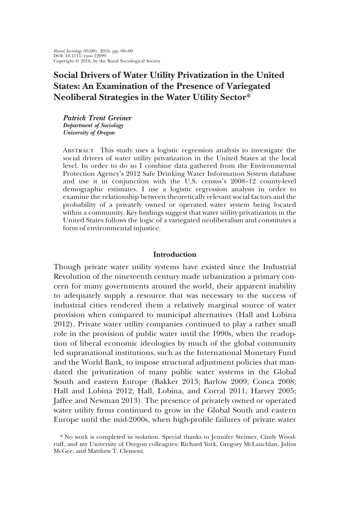# Social Drivers of Water Utility Privatization in the United States: An Examination of the Presence of Variegated Neoliberal Strategies in the Water Utility Sector\*

Patrick Trent Greiner Department of Sociology University of Oregon

Abstract This study uses a logistic regression analysis to investigate the social drivers of water utility privatization in the United States at the local level. In order to do so I combine data gathered from the Environmental Protection Agency's 2012 Safe Drinking Water Information System database and use it in conjunction with the U.S. census's 2008–12 county-level demographic estimates. I use a logistic regression analysis in order to examine the relationship between theoretically relevant social factors and the probability of a privately owned or operated water system being located within a community. Key findings suggest that water utility privatization in the United States follows the logic of a variegated neoliberalism and constitutes a form of environmental injustice.

#### Introduction

Though private water utility systems have existed since the Industrial Revolution of the nineteenth century made urbanization a primary concern for many governments around the world, their apparent inability to adequately supply a resource that was necessary to the success of industrial cities rendered them a relatively marginal source of water provision when compared to municipal alternatives (Hall and Lobina 2012). Private water utility companies continued to play a rather small role in the provision of public water until the 1990s, when the readoption of liberal economic ideologies by much of the global community led supranational institutions, such as the International Monetary Fund and the World Bank, to impose structural adjustment policies that mandated the privatization of many public water systems in the Global South and eastern Europe (Bakker 2013; Barlow 2009; Conca 2008; Hall and Lobina 2012; Hall, Lobina, and Corral 2011; Harvey 2005; Jaffee and Newman 2013). The presence of privately owned or operated water utility firms continued to grow in the Global South and eastern Europe until the mid-2000s, when high-profile failures of private water

<sup>\*</sup> No work is completed in isolation. Special thanks to Jennifer Steimer, Cindy Woodruff, and my University of Oregon colleagues: Richard York, Gregory McLauchlan, Julius McGee, and Matthew T. Clement.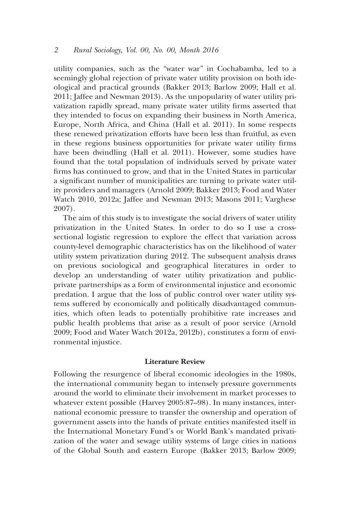utility companies, such as the "water war" in Cochabamba, led to a seemingly global rejection of private water utility provision on both ideological and practical grounds (Bakker 2013; Barlow 2009; Hall et al. 2011; Jaffee and Newman 2013). As the unpopularity of water utility privatization rapidly spread, many private water utility firms asserted that they intended to focus on expanding their business in North America, Europe, North Africa, and China (Hall et al. 2011). In some respects these renewed privatization efforts have been less than fruitful, as even in these regions business opportunities for private water utility firms have been dwindling (Hall et al. 2011). However, some studies have found that the total population of individuals served by private water firms has continued to grow, and that in the United States in particular a significant number of municipalities are turning to private water utility providers and managers (Arnold 2009; Bakker 2013; Food and Water Watch 2010, 2012a; Jaffee and Newman 2013; Masons 2011; Varghese 2007).

The aim of this study is to investigate the social drivers of water utility privatization in the United States. In order to do so I use a crosssectional logistic regression to explore the effect that variation across county-level demographic characteristics has on the likelihood of water utility system privatization during 2012. The subsequent analysis draws on previous sociological and geographical literatures in order to develop an understanding of water utility privatization and publicprivate partnerships as a form of environmental injustice and economic predation. I argue that the loss of public control over water utility systems suffered by economically and politically disadvantaged communities, which often leads to potentially prohibitive rate increases and public health problems that arise as a result of poor service (Arnold 2009; Food and Water Watch 2012a, 2012b), constitutes a form of environmental injustice.

# Literature Review

Following the resurgence of liberal economic ideologies in the 1980s, the international community began to intensely pressure governments around the world to eliminate their involvement in market processes to whatever extent possible (Harvey 2005:87–98). In many instances, international economic pressure to transfer the ownership and operation of government assets into the hands of private entities manifested itself in the International Monetary Fund's or World Bank's mandated privatization of the water and sewage utility systems of large cities in nations of the Global South and eastern Europe (Bakker 2013; Barlow 2009;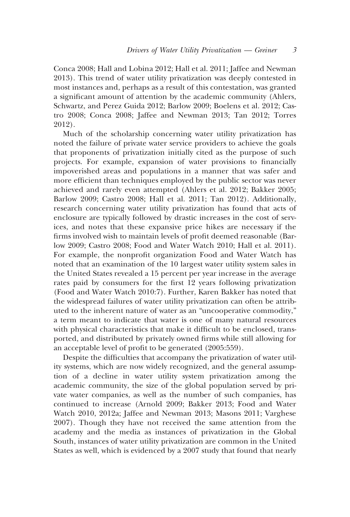Conca 2008; Hall and Lobina 2012; Hall et al. 2011; Jaffee and Newman 2013). This trend of water utility privatization was deeply contested in most instances and, perhaps as a result of this contestation, was granted a significant amount of attention by the academic community (Ahlers, Schwartz, and Perez Guida 2012; Barlow 2009; Boelens et al. 2012; Castro 2008; Conca 2008; Jaffee and Newman 2013; Tan 2012; Torres 2012).

Much of the scholarship concerning water utility privatization has noted the failure of private water service providers to achieve the goals that proponents of privatization initially cited as the purpose of such projects. For example, expansion of water provisions to financially impoverished areas and populations in a manner that was safer and more efficient than techniques employed by the public sector was never achieved and rarely even attempted (Ahlers et al. 2012; Bakker 2005; Barlow 2009; Castro 2008; Hall et al. 2011; Tan 2012). Additionally, research concerning water utility privatization has found that acts of enclosure are typically followed by drastic increases in the cost of services, and notes that these expansive price hikes are necessary if the firms involved wish to maintain levels of profit deemed reasonable (Barlow 2009; Castro 2008; Food and Water Watch 2010; Hall et al. 2011). For example, the nonprofit organization Food and Water Watch has noted that an examination of the 10 largest water utility system sales in the United States revealed a 15 percent per year increase in the average rates paid by consumers for the first 12 years following privatization (Food and Water Watch 2010:7). Further, Karen Bakker has noted that the widespread failures of water utility privatization can often be attributed to the inherent nature of water as an "uncooperative commodity," a term meant to indicate that water is one of many natural resources with physical characteristics that make it difficult to be enclosed, transported, and distributed by privately owned firms while still allowing for an acceptable level of profit to be generated (2005:559).

Despite the difficulties that accompany the privatization of water utility systems, which are now widely recognized, and the general assumption of a decline in water utility system privatization among the academic community, the size of the global population served by private water companies, as well as the number of such companies, has continued to increase (Arnold 2009; Bakker 2013; Food and Water Watch 2010, 2012a; Jaffee and Newman 2013; Masons 2011; Varghese 2007). Though they have not received the same attention from the academy and the media as instances of privatization in the Global South, instances of water utility privatization are common in the United States as well, which is evidenced by a 2007 study that found that nearly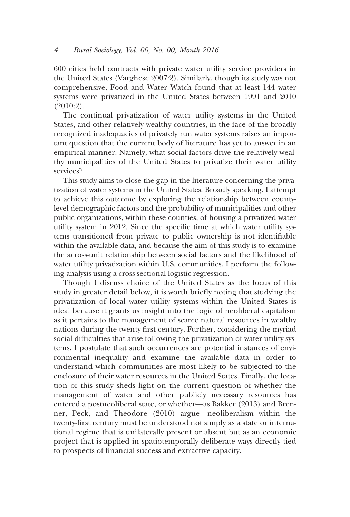600 cities held contracts with private water utility service providers in the United States (Varghese 2007:2). Similarly, though its study was not comprehensive, Food and Water Watch found that at least 144 water systems were privatized in the United States between 1991 and 2010 (2010:2).

The continual privatization of water utility systems in the United States, and other relatively wealthy countries, in the face of the broadly recognized inadequacies of privately run water systems raises an important question that the current body of literature has yet to answer in an empirical manner. Namely, what social factors drive the relatively wealthy municipalities of the United States to privatize their water utility services?

This study aims to close the gap in the literature concerning the privatization of water systems in the United States. Broadly speaking, I attempt to achieve this outcome by exploring the relationship between countylevel demographic factors and the probability of municipalities and other public organizations, within these counties, of housing a privatized water utility system in 2012. Since the specific time at which water utility systems transitioned from private to public ownership is not identifiable within the available data, and because the aim of this study is to examine the across-unit relationship between social factors and the likelihood of water utility privatization within U.S. communities, I perform the following analysis using a cross-sectional logistic regression.

Though I discuss choice of the United States as the focus of this study in greater detail below, it is worth briefly noting that studying the privatization of local water utility systems within the United States is ideal because it grants us insight into the logic of neoliberal capitalism as it pertains to the management of scarce natural resources in wealthy nations during the twenty-first century. Further, considering the myriad social difficulties that arise following the privatization of water utility systems, I postulate that such occurrences are potential instances of environmental inequality and examine the available data in order to understand which communities are most likely to be subjected to the enclosure of their water resources in the United States. Finally, the location of this study sheds light on the current question of whether the management of water and other publicly necessary resources has entered a postneoliberal state, or whether—as Bakker (2013) and Brenner, Peck, and Theodore (2010) argue—neoliberalism within the twenty-first century must be understood not simply as a state or international regime that is unilaterally present or absent but as an economic project that is applied in spatiotemporally deliberate ways directly tied to prospects of financial success and extractive capacity.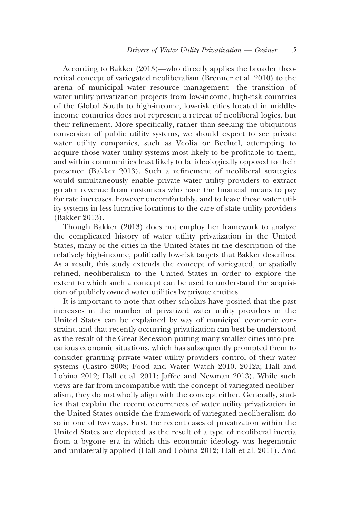According to Bakker (2013)—who directly applies the broader theoretical concept of variegated neoliberalism (Brenner et al. 2010) to the arena of municipal water resource management—the transition of water utility privatization projects from low-income, high-risk countries of the Global South to high-income, low-risk cities located in middleincome countries does not represent a retreat of neoliberal logics, but their refinement. More specifically, rather than seeking the ubiquitous conversion of public utility systems, we should expect to see private water utility companies, such as Veolia or Bechtel, attempting to acquire those water utility systems most likely to be profitable to them, and within communities least likely to be ideologically opposed to their presence (Bakker 2013). Such a refinement of neoliberal strategies would simultaneously enable private water utility providers to extract greater revenue from customers who have the financial means to pay for rate increases, however uncomfortably, and to leave those water utility systems in less lucrative locations to the care of state utility providers (Bakker 2013).

Though Bakker (2013) does not employ her framework to analyze the complicated history of water utility privatization in the United States, many of the cities in the United States fit the description of the relatively high-income, politically low-risk targets that Bakker describes. As a result, this study extends the concept of variegated, or spatially refined, neoliberalism to the United States in order to explore the extent to which such a concept can be used to understand the acquisition of publicly owned water utilities by private entities.

It is important to note that other scholars have posited that the past increases in the number of privatized water utility providers in the United States can be explained by way of municipal economic constraint, and that recently occurring privatization can best be understood as the result of the Great Recession putting many smaller cities into precarious economic situations, which has subsequently prompted them to consider granting private water utility providers control of their water systems (Castro 2008; Food and Water Watch 2010, 2012a; Hall and Lobina 2012; Hall et al. 2011; Jaffee and Newman 2013). While such views are far from incompatible with the concept of variegated neoliberalism, they do not wholly align with the concept either. Generally, studies that explain the recent occurrences of water utility privatization in the United States outside the framework of variegated neoliberalism do so in one of two ways. First, the recent cases of privatization within the United States are depicted as the result of a type of neoliberal inertia from a bygone era in which this economic ideology was hegemonic and unilaterally applied (Hall and Lobina 2012; Hall et al. 2011). And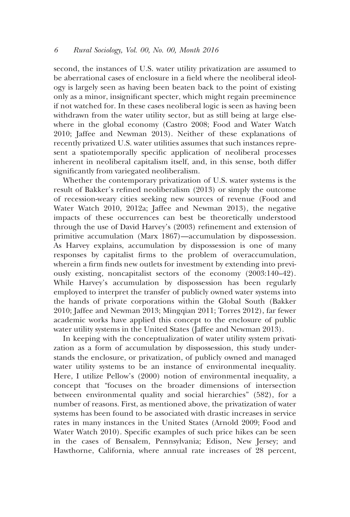second, the instances of U.S. water utility privatization are assumed to be aberrational cases of enclosure in a field where the neoliberal ideology is largely seen as having been beaten back to the point of existing only as a minor, insignificant specter, which might regain preeminence if not watched for. In these cases neoliberal logic is seen as having been withdrawn from the water utility sector, but as still being at large elsewhere in the global economy (Castro 2008; Food and Water Watch 2010; Jaffee and Newman 2013). Neither of these explanations of recently privatized U.S. water utilities assumes that such instances represent a spatiotemporally specific application of neoliberal processes inherent in neoliberal capitalism itself, and, in this sense, both differ significantly from variegated neoliberalism.

Whether the contemporary privatization of U.S. water systems is the result of Bakker's refined neoliberalism (2013) or simply the outcome of recession-weary cities seeking new sources of revenue (Food and Water Watch 2010, 2012a; Jaffee and Newman 2013), the negative impacts of these occurrences can best be theoretically understood through the use of David Harvey's (2003) refinement and extension of primitive accumulation (Marx 1867)—accumulation by dispossession. As Harvey explains, accumulation by dispossession is one of many responses by capitalist firms to the problem of overaccumulation, wherein a firm finds new outlets for investment by extending into previously existing, noncapitalist sectors of the economy (2003:140–42). While Harvey's accumulation by dispossession has been regularly employed to interpret the transfer of publicly owned water systems into the hands of private corporations within the Global South (Bakker 2010; Jaffee and Newman 2013; Mingqian 2011; Torres 2012), far fewer academic works have applied this concept to the enclosure of public water utility systems in the United States (Jaffee and Newman 2013).

In keeping with the conceptualization of water utility system privatization as a form of accumulation by dispossession, this study understands the enclosure, or privatization, of publicly owned and managed water utility systems to be an instance of environmental inequality. Here, I utilize Pellow's (2000) notion of environmental inequality, a concept that "focuses on the broader dimensions of intersection between environmental quality and social hierarchies" (582), for a number of reasons. First, as mentioned above, the privatization of water systems has been found to be associated with drastic increases in service rates in many instances in the United States (Arnold 2009; Food and Water Watch 2010). Specific examples of such price hikes can be seen in the cases of Bensalem, Pennsylvania; Edison, New Jersey; and Hawthorne, California, where annual rate increases of 28 percent,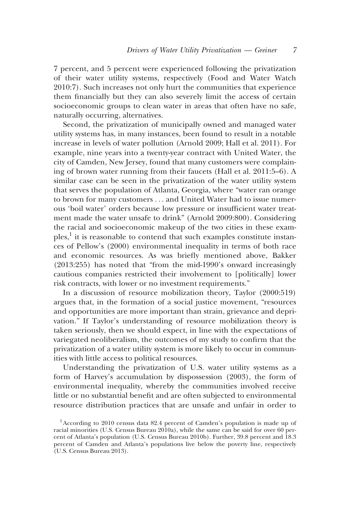7 percent, and 5 percent were experienced following the privatization of their water utility systems, respectively (Food and Water Watch 2010:7). Such increases not only hurt the communities that experience them financially but they can also severely limit the access of certain socioeconomic groups to clean water in areas that often have no safe, naturally occurring, alternatives.

Second, the privatization of municipally owned and managed water utility systems has, in many instances, been found to result in a notable increase in levels of water pollution (Arnold 2009; Hall et al. 2011). For example, nine years into a twenty-year contract with United Water, the city of Camden, New Jersey, found that many customers were complaining of brown water running from their faucets (Hall et al. 2011:5–6). A similar case can be seen in the privatization of the water utility system that serves the population of Atlanta, Georgia, where "water ran orange to brown for many customers ... and United Water had to issue numerous 'boil water' orders because low pressure or insufficient water treatment made the water unsafe to drink" (Arnold 2009:800). Considering the racial and socioeconomic makeup of the two cities in these examples, $\frac{1}{1}$  it is reasonable to contend that such examples constitute instances of Pellow's (2000) environmental inequality in terms of both race and economic resources. As was briefly mentioned above, Bakker (2013:255) has noted that "from the mid-1990's onward increasingly cautious companies restricted their involvement to [politically] lower risk contracts, with lower or no investment requirements."

In a discussion of resource mobilization theory, Taylor (2000:519) argues that, in the formation of a social justice movement, "resources and opportunities are more important than strain, grievance and deprivation." If Taylor's understanding of resource mobilization theory is taken seriously, then we should expect, in line with the expectations of variegated neoliberalism, the outcomes of my study to confirm that the privatization of a water utility system is more likely to occur in communities with little access to political resources.

Understanding the privatization of U.S. water utility systems as a form of Harvey's accumulation by dispossession (2003), the form of environmental inequality, whereby the communities involved receive little or no substantial benefit and are often subjected to environmental resource distribution practices that are unsafe and unfair in order to

<sup>&</sup>lt;sup>1</sup> According to 2010 census data 82.4 percent of Camden's population is made up of racial minorities (U.S. Census Bureau 2010a), while the same can be said for over 60 percent of Atlanta's population (U.S. Census Bureau 2010b). Further, 39.8 percent and 18.3 percent of Camden and Atlanta's populations live below the poverty line, respectively (U.S. Census Bureau 2013).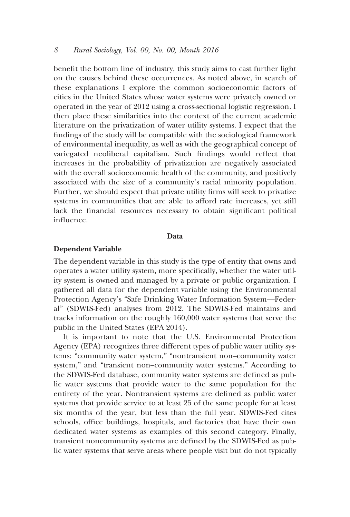benefit the bottom line of industry, this study aims to cast further light on the causes behind these occurrences. As noted above, in search of these explanations I explore the common socioeconomic factors of cities in the United States whose water systems were privately owned or operated in the year of 2012 using a cross-sectional logistic regression. I then place these similarities into the context of the current academic literature on the privatization of water utility systems. I expect that the findings of the study will be compatible with the sociological framework of environmental inequality, as well as with the geographical concept of variegated neoliberal capitalism. Such findings would reflect that increases in the probability of privatization are negatively associated with the overall socioeconomic health of the community, and positively associated with the size of a community's racial minority population. Further, we should expect that private utility firms will seek to privatize systems in communities that are able to afford rate increases, yet still lack the financial resources necessary to obtain significant political influence.

#### Data

## Dependent Variable

The dependent variable in this study is the type of entity that owns and operates a water utility system, more specifically, whether the water utility system is owned and managed by a private or public organization. I gathered all data for the dependent variable using the Environmental Protection Agency's "Safe Drinking Water Information System—Federal" (SDWIS-Fed) analyses from 2012. The SDWIS-Fed maintains and tracks information on the roughly 160,000 water systems that serve the public in the United States (EPA 2014).

It is important to note that the U.S. Environmental Protection Agency (EPA) recognizes three different types of public water utility systems: "community water system," "nontransient non–community water system," and "transient non–community water systems." According to the SDWIS-Fed database, community water systems are defined as public water systems that provide water to the same population for the entirety of the year. Nontransient systems are defined as public water systems that provide service to at least 25 of the same people for at least six months of the year, but less than the full year. SDWIS-Fed cites schools, office buildings, hospitals, and factories that have their own dedicated water systems as examples of this second category. Finally, transient noncommunity systems are defined by the SDWIS-Fed as public water systems that serve areas where people visit but do not typically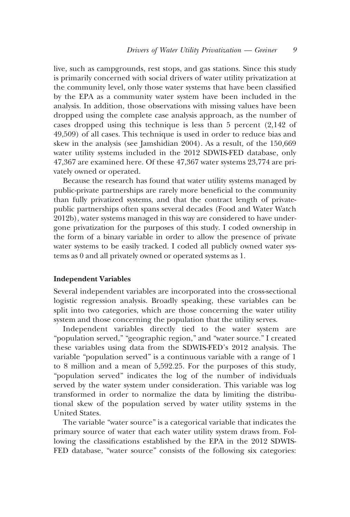live, such as campgrounds, rest stops, and gas stations. Since this study is primarily concerned with social drivers of water utility privatization at the community level, only those water systems that have been classified by the EPA as a community water system have been included in the analysis. In addition, those observations with missing values have been dropped using the complete case analysis approach, as the number of cases dropped using this technique is less than 5 percent (2,142 of 49,509) of all cases. This technique is used in order to reduce bias and skew in the analysis (see Jamshidian 2004). As a result, of the 150,669 water utility systems included in the 2012 SDWIS-FED database, only 47,367 are examined here. Of these 47,367 water systems 23,774 are privately owned or operated.

Because the research has found that water utility systems managed by public-private partnerships are rarely more beneficial to the community than fully privatized systems, and that the contract length of privatepublic partnerships often spans several decades (Food and Water Watch 2012b), water systems managed in this way are considered to have undergone privatization for the purposes of this study. I coded ownership in the form of a binary variable in order to allow the presence of private water systems to be easily tracked. I coded all publicly owned water systems as 0 and all privately owned or operated systems as 1.

#### Independent Variables

Several independent variables are incorporated into the cross-sectional logistic regression analysis. Broadly speaking, these variables can be split into two categories, which are those concerning the water utility system and those concerning the population that the utility serves.

Independent variables directly tied to the water system are "population served," "geographic region," and "water source." I created these variables using data from the SDWIS-FED's 2012 analysis. The variable "population served" is a continuous variable with a range of 1 to 8 million and a mean of 5,592.25. For the purposes of this study, "population served" indicates the log of the number of individuals served by the water system under consideration. This variable was log transformed in order to normalize the data by limiting the distributional skew of the population served by water utility systems in the United States.

The variable "water source" is a categorical variable that indicates the primary source of water that each water utility system draws from. Following the classifications established by the EPA in the 2012 SDWIS-FED database, "water source" consists of the following six categories: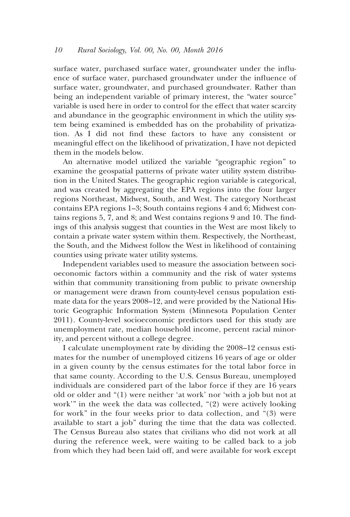surface water, purchased surface water, groundwater under the influence of surface water, purchased groundwater under the influence of surface water, groundwater, and purchased groundwater. Rather than being an independent variable of primary interest, the "water source" variable is used here in order to control for the effect that water scarcity and abundance in the geographic environment in which the utility system being examined is embedded has on the probability of privatization. As I did not find these factors to have any consistent or meaningful effect on the likelihood of privatization, I have not depicted them in the models below.

An alternative model utilized the variable "geographic region" to examine the geospatial patterns of private water utility system distribution in the United States. The geographic region variable is categorical, and was created by aggregating the EPA regions into the four larger regions Northeast, Midwest, South, and West. The category Northeast contains EPA regions 1–3; South contains regions 4 and 6; Midwest contains regions 5, 7, and 8; and West contains regions 9 and 10. The findings of this analysis suggest that counties in the West are most likely to contain a private water system within them. Respectively, the Northeast, the South, and the Midwest follow the West in likelihood of containing counties using private water utility systems.

Independent variables used to measure the association between socioeconomic factors within a community and the risk of water systems within that community transitioning from public to private ownership or management were drawn from county-level census population estimate data for the years 2008–12, and were provided by the National Historic Geographic Information System (Minnesota Population Center 2011). County-level socioeconomic predictors used for this study are unemployment rate, median household income, percent racial minority, and percent without a college degree.

I calculate unemployment rate by dividing the 2008–12 census estimates for the number of unemployed citizens 16 years of age or older in a given county by the census estimates for the total labor force in that same county. According to the U.S. Census Bureau, unemployed individuals are considered part of the labor force if they are 16 years old or older and "(1) were neither 'at work' nor 'with a job but not at work'" in the week the data was collected, "(2) were actively looking for work" in the four weeks prior to data collection, and "(3) were available to start a job" during the time that the data was collected. The Census Bureau also states that civilians who did not work at all during the reference week, were waiting to be called back to a job from which they had been laid off, and were available for work except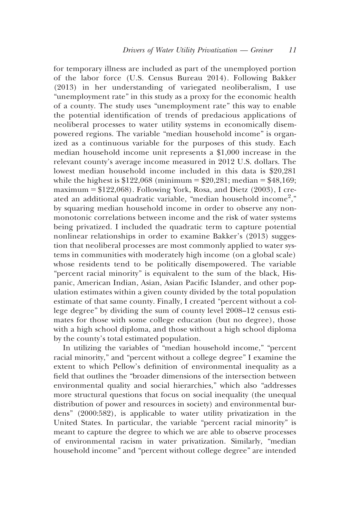for temporary illness are included as part of the unemployed portion of the labor force (U.S. Census Bureau 2014). Following Bakker (2013) in her understanding of variegated neoliberalism, I use "unemployment rate" in this study as a proxy for the economic health of a county. The study uses "unemployment rate" this way to enable the potential identification of trends of predacious applications of neoliberal processes to water utility systems in economically disempowered regions. The variable "median household income" is organized as a continuous variable for the purposes of this study. Each median household income unit represents a \$1,000 increase in the relevant county's average income measured in 2012 U.S. dollars. The lowest median household income included in this data is \$20,281 while the highest is  $$122,068$  (minimum =  $$20,281$ ; median =  $$48,169$ ; maximum  $= $122,068)$ . Following York, Rosa, and Dietz (2003), I created an additional quadratic variable, "median household income<sup>2</sup>," by squaring median household income in order to observe any nonmonotonic correlations between income and the risk of water systems being privatized. I included the quadratic term to capture potential nonlinear relationships in order to examine Bakker's (2013) suggestion that neoliberal processes are most commonly applied to water systems in communities with moderately high income (on a global scale) whose residents tend to be politically disempowered. The variable "percent racial minority" is equivalent to the sum of the black, Hispanic, American Indian, Asian, Asian Pacific Islander, and other population estimates within a given county divided by the total population estimate of that same county. Finally, I created "percent without a college degree" by dividing the sum of county level 2008–12 census estimates for those with some college education (but no degree), those with a high school diploma, and those without a high school diploma by the county's total estimated population.

In utilizing the variables of "median household income," "percent racial minority," and "percent without a college degree" I examine the extent to which Pellow's definition of environmental inequality as a field that outlines the "broader dimensions of the intersection between environmental quality and social hierarchies," which also "addresses more structural questions that focus on social inequality (the unequal distribution of power and resources in society) and environmental burdens" (2000:582), is applicable to water utility privatization in the United States. In particular, the variable "percent racial minority" is meant to capture the degree to which we are able to observe processes of environmental racism in water privatization. Similarly, "median household income" and "percent without college degree" are intended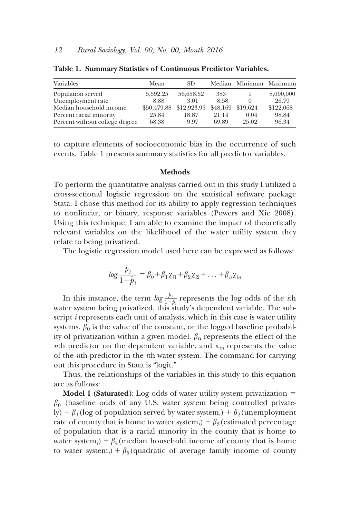| Variables                      | Mean        | SD.         | Median   | Minimum Maximum |           |
|--------------------------------|-------------|-------------|----------|-----------------|-----------|
| Population served              | 5,592.25    | 56,658.52   | 383      |                 | 8,000,000 |
| Unemployment rate              | 8.88        | 3.01        | 8.58     |                 | 26.79     |
| Median household income        | \$50,479.88 | \$12,923.95 | \$48.169 | \$19.624        | \$122,068 |
| Percent racial minority        | 25.84       | 18.87       | 21.14    | 0.04            | 98.84     |
| Percent without college degree | 68.38       | 9.97        | 69.89    | 25.02           | 96.34     |

Table 1. Summary Statistics of Continuous Predictor Variables.

to capture elements of socioeconomic bias in the occurrence of such events. Table 1 presents summary statistics for all predictor variables.

## Methods

To perform the quantitative analysis carried out in this study I utilized a cross-sectional logistic regression on the statistical software package Stata. I chose this method for its ability to apply regression techniques to nonlinear, or binary, response variables (Powers and Xie 2008). Using this technique, I am able to examine the impact of theoretically relevant variables on the likelihood of the water utility system they relate to being privatized.

The logistic regression model used here can be expressed as follows:

$$
\log \frac{\hat{p}_i}{1-\hat{p}_i} = \beta_0 + \beta_1 \chi_{i1} + \beta_2 \chi_{i2} + \dots + \beta_n \chi_{in}
$$

In this instance, the term  $\log \frac{\hat{p}_i}{1-\hat{p}_i}$  represents the log odds of the *i*th water system being privatized, this study's dependent variable. The subscript *i* represents each unit of analysis, which in this case is water utility systems.  $\beta_0$  is the value of the constant, or the logged baseline probability of privatization within a given model.  $\beta_n$  represents the effect of the nth predictor on the dependent variable, and  $x_{in}$  represents the value of the nth predictor in the ith water system. The command for carrying out this procedure in Stata is "logit."

Thus, the relationships of the variables in this study to this equation are as follows:

**Model 1 (Saturated):** Log odds of water utility system privatization  $=$  $\beta_0$  (baseline odds of any U.S. water system being controlled privately) +  $\beta_1$ (log of population served by water system<sub>i</sub>) +  $\beta_2$ (unemployment rate of county that is home to water system<sub>i</sub>) +  $\beta_3$  (estimated percentage of population that is a racial minority in the county that is home to water system<sub>i</sub>) +  $\beta_4$ (median household income of county that is home to water system<sub>i</sub>) +  $\beta$ <sub>5</sub>(quadratic of average family income of county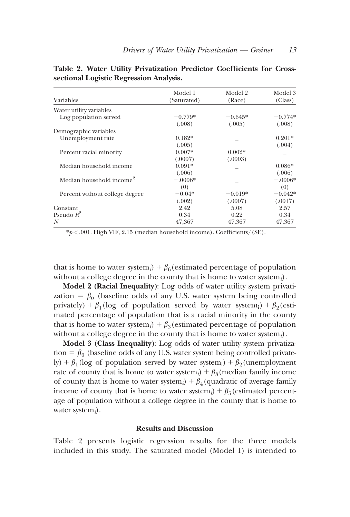|                                      | Model 1     | Model 2   | Model 3   |  |
|--------------------------------------|-------------|-----------|-----------|--|
| Variables                            | (Saturated) | (Race)    | (Class)   |  |
| Water utility variables              |             |           |           |  |
| Log population served                | $-0.779*$   | $-0.645*$ | $-0.774*$ |  |
|                                      | (.008)      | (.005)    | (.008)    |  |
| Demographic variables                |             |           |           |  |
| Unemployment rate                    | $0.182*$    |           | $0.201*$  |  |
|                                      | (.005)      |           | (.004)    |  |
| Percent racial minority              | $0.007*$    | $0.002*$  |           |  |
|                                      | (.0007)     | (.0003)   |           |  |
| Median household income              | $0.091*$    |           | $0.086*$  |  |
|                                      | (.006)      |           | (.006)    |  |
| Median household income <sup>2</sup> | $-.0006*$   |           | $-.0006*$ |  |
|                                      | (0)         |           | (0)       |  |
| Percent without college degree       | $-0.04*$    | $-0.019*$ | $-0.042*$ |  |
|                                      | (.002)      | (.0007)   | (.0017)   |  |
| Constant                             | 2.42        | 5.08      | 2.57      |  |
| Pseudo $R^2$                         | 0.34        | 0.22      | 0.34      |  |
| N                                    | 47,367      | 47,367    | 47,367    |  |

Table 2. Water Utility Privatization Predictor Coefficients for Crosssectional Logistic Regression Analysis.

 $*p$  < .001. High VIF, 2.15 (median household income). Coefficients/(SE).

that is home to water system<sub>i</sub>) +  $\beta_6$  (estimated percentage of population without a college degree in the county that is home to water system.).

Model 2 (Racial Inequality): Log odds of water utility system privatization =  $\beta_0$  (baseline odds of any U.S. water system being controlled privately)  $+\beta_1(\log \text{ of population served by water system}_i) + \beta_2(\text{esti-}$ mated percentage of population that is a racial minority in the county that is home to water system<sub>i</sub>) +  $\beta_3$  (estimated percentage of population without a college degree in the county that is home to water system $_i$ ).

Model 3 (Class Inequality): Log odds of water utility system privatization  $= \beta_0$  (baseline odds of any U.S. water system being controlled privately) +  $\beta_1$ (log of population served by water system<sub>i</sub>) +  $\beta_2$ (unemployment rate of county that is home to water system<sub>i</sub>) +  $\beta_3$ (median family income of county that is home to water system<sub>i</sub>) +  $\beta_4$ (quadratic of average family income of county that is home to water system<sub>i</sub>) +  $\beta$ <sub>5</sub>(estimated percentage of population without a college degree in the county that is home to water system $_i$ ).

#### Results and Discussion

Table 2 presents logistic regression results for the three models included in this study. The saturated model (Model 1) is intended to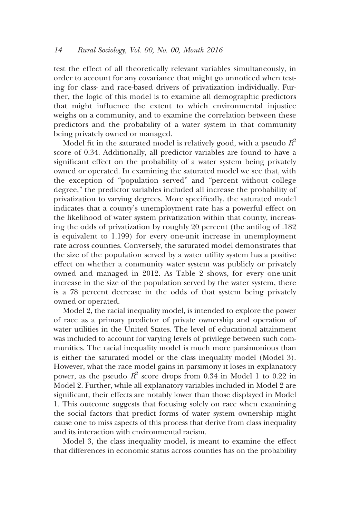test the effect of all theoretically relevant variables simultaneously, in order to account for any covariance that might go unnoticed when testing for class- and race-based drivers of privatization individually. Further, the logic of this model is to examine all demographic predictors that might influence the extent to which environmental injustice weighs on a community, and to examine the correlation between these predictors and the probability of a water system in that community being privately owned or managed.

Model fit in the saturated model is relatively good, with a pseudo  $R^2$ score of 0.34. Additionally, all predictor variables are found to have a significant effect on the probability of a water system being privately owned or operated. In examining the saturated model we see that, with the exception of "population served" and "percent without college degree," the predictor variables included all increase the probability of privatization to varying degrees. More specifically, the saturated model indicates that a county's unemployment rate has a powerful effect on the likelihood of water system privatization within that county, increasing the odds of privatization by roughly 20 percent (the antilog of .182 is equivalent to 1.199) for every one-unit increase in unemployment rate across counties. Conversely, the saturated model demonstrates that the size of the population served by a water utility system has a positive effect on whether a community water system was publicly or privately owned and managed in 2012. As Table 2 shows, for every one-unit increase in the size of the population served by the water system, there is a 78 percent decrease in the odds of that system being privately owned or operated.

Model 2, the racial inequality model, is intended to explore the power of race as a primary predictor of private ownership and operation of water utilities in the United States. The level of educational attainment was included to account for varying levels of privilege between such communities. The racial inequality model is much more parsimonious than is either the saturated model or the class inequality model (Model 3). However, what the race model gains in parsimony it loses in explanatory power, as the pseudo  $R^2$  score drops from 0.34 in Model 1 to 0.22 in Model 2. Further, while all explanatory variables included in Model 2 are significant, their effects are notably lower than those displayed in Model 1. This outcome suggests that focusing solely on race when examining the social factors that predict forms of water system ownership might cause one to miss aspects of this process that derive from class inequality and its interaction with environmental racism.

Model 3, the class inequality model, is meant to examine the effect that differences in economic status across counties has on the probability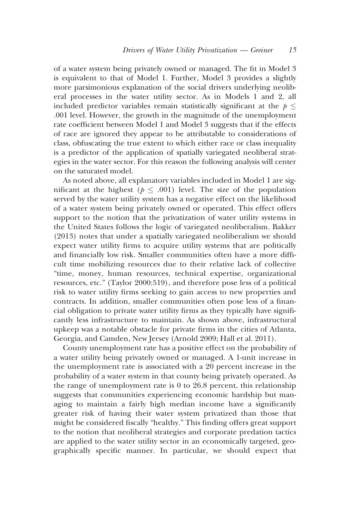of a water system being privately owned or managed. The fit in Model 3 is equivalent to that of Model 1. Further, Model 3 provides a slightly more parsimonious explanation of the social drivers underlying neoliberal processes in the water utility sector. As in Models 1 and 2, all included predictor variables remain statistically significant at the  $p \leq$ .001 level. However, the growth in the magnitude of the unemployment rate coefficient between Model 1 and Model 3 suggests that if the effects of race are ignored they appear to be attributable to considerations of class, obfuscating the true extent to which either race or class inequality is a predictor of the application of spatially variegated neoliberal strategies in the water sector. For this reason the following analysis will center on the saturated model.

As noted above, all explanatory variables included in Model 1 are significant at the highest ( $p \leq .001$ ) level. The size of the population served by the water utility system has a negative effect on the likelihood of a water system being privately owned or operated. This effect offers support to the notion that the privatization of water utility systems in the United States follows the logic of variegated neoliberalism. Bakker (2013) notes that under a spatially variegated neoliberalism we should expect water utility firms to acquire utility systems that are politically and financially low risk. Smaller communities often have a more difficult time mobilizing resources due to their relative lack of collective "time, money, human resources, technical expertise, organizational resources, etc." (Taylor 2000:519), and therefore pose less of a political risk to water utility firms seeking to gain access to new properties and contracts. In addition, smaller communities often pose less of a financial obligation to private water utility firms as they typically have significantly less infrastructure to maintain. As shown above, infrastructural upkeep was a notable obstacle for private firms in the cities of Atlanta, Georgia, and Camden, New Jersey (Arnold 2009; Hall et al. 2011).

County unemployment rate has a positive effect on the probability of a water utility being privately owned or managed. A 1-unit increase in the unemployment rate is associated with a 20 percent increase in the probability of a water system in that county being privately operated. As the range of unemployment rate is 0 to 26.8 percent, this relationship suggests that communities experiencing economic hardship but managing to maintain a fairly high median income have a significantly greater risk of having their water system privatized than those that might be considered fiscally "healthy." This finding offers great support to the notion that neoliberal strategies and corporate predation tactics are applied to the water utility sector in an economically targeted, geographically specific manner. In particular, we should expect that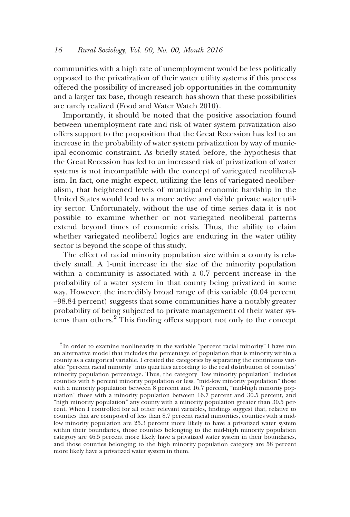communities with a high rate of unemployment would be less politically opposed to the privatization of their water utility systems if this process offered the possibility of increased job opportunities in the community and a larger tax base, though research has shown that these possibilities are rarely realized (Food and Water Watch 2010).

Importantly, it should be noted that the positive association found between unemployment rate and risk of water system privatization also offers support to the proposition that the Great Recession has led to an increase in the probability of water system privatization by way of municipal economic constraint. As briefly stated before, the hypothesis that the Great Recession has led to an increased risk of privatization of water systems is not incompatible with the concept of variegated neoliberalism. In fact, one might expect, utilizing the lens of variegated neoliberalism, that heightened levels of municipal economic hardship in the United States would lead to a more active and visible private water utility sector. Unfortunately, without the use of time series data it is not possible to examine whether or not variegated neoliberal patterns extend beyond times of economic crisis. Thus, the ability to claim whether variegated neoliberal logics are enduring in the water utility sector is beyond the scope of this study.

The effect of racial minority population size within a county is relatively small. A 1-unit increase in the size of the minority population within a community is associated with a 0.7 percent increase in the probability of a water system in that county being privatized in some way. However, the incredibly broad range of this variable (0.04 percent –98.84 percent) suggests that some communities have a notably greater probability of being subjected to private management of their water systems than others.<sup>2</sup> This finding offers support not only to the concept

<sup>2</sup> In order to examine nonlinearity in the variable "percent racial minority" I have run an alternative model that includes the percentage of population that is minority within a county as a categorical variable. I created the categories by separating the continuous variable "percent racial minority" into quartiles according to the real distribution of counties' minority population percentage. Thus, the category "low minority population" includes counties with 8 percent minority population or less, "mid-low minority population" those with a minority population between 8 percent and 16.7 percent, "mid-high minority population" those with a minority population between 16.7 percent and 30.5 percent, and "high minority population" any county with a minority population greater than 30.5 percent. When I controlled for all other relevant variables, findings suggest that, relative to counties that are composed of less than 8.7 percent racial minorities, counties with a midlow minority population are 25.3 percent more likely to have a privatized water system within their boundaries, those counties belonging to the mid-high minority population category are 46.5 percent more likely have a privatized water system in their boundaries, and those counties belonging to the high minority population category are 58 percent more likely have a privatized water system in them.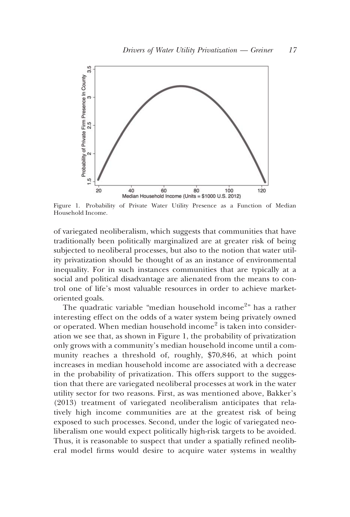

Figure 1. Probability of Private Water Utility Presence as a Function of Median Household Income.

of variegated neoliberalism, which suggests that communities that have traditionally been politically marginalized are at greater risk of being subjected to neoliberal processes, but also to the notion that water utility privatization should be thought of as an instance of environmental inequality. For in such instances communities that are typically at a social and political disadvantage are alienated from the means to control one of life's most valuable resources in order to achieve marketoriented goals.

The quadratic variable "median household income<sup>2</sup>" has a rather interesting effect on the odds of a water system being privately owned or operated. When median household income<sup>2</sup> is taken into consideration we see that, as shown in Figure 1, the probability of privatization only grows with a community's median household income until a community reaches a threshold of, roughly, \$70,846, at which point increases in median household income are associated with a decrease in the probability of privatization. This offers support to the suggestion that there are variegated neoliberal processes at work in the water utility sector for two reasons. First, as was mentioned above, Bakker's (2013) treatment of variegated neoliberalism anticipates that relatively high income communities are at the greatest risk of being exposed to such processes. Second, under the logic of variegated neoliberalism one would expect politically high-risk targets to be avoided. Thus, it is reasonable to suspect that under a spatially refined neoliberal model firms would desire to acquire water systems in wealthy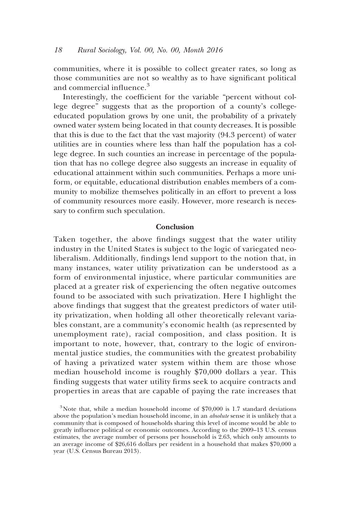communities, where it is possible to collect greater rates, so long as those communities are not so wealthy as to have significant political and commercial influence.<sup>3</sup>

Interestingly, the coefficient for the variable "percent without college degree" suggests that as the proportion of a county's collegeeducated population grows by one unit, the probability of a privately owned water system being located in that county decreases. It is possible that this is due to the fact that the vast majority (94.3 percent) of water utilities are in counties where less than half the population has a college degree. In such counties an increase in percentage of the population that has no college degree also suggests an increase in equality of educational attainment within such communities. Perhaps a more uniform, or equitable, educational distribution enables members of a community to mobilize themselves politically in an effort to prevent a loss of community resources more easily. However, more research is necessary to confirm such speculation.

## Conclusion

Taken together, the above findings suggest that the water utility industry in the United States is subject to the logic of variegated neoliberalism. Additionally, findings lend support to the notion that, in many instances, water utility privatization can be understood as a form of environmental injustice, where particular communities are placed at a greater risk of experiencing the often negative outcomes found to be associated with such privatization. Here I highlight the above findings that suggest that the greatest predictors of water utility privatization, when holding all other theoretically relevant variables constant, are a community's economic health (as represented by unemployment rate), racial composition, and class position. It is important to note, however, that, contrary to the logic of environmental justice studies, the communities with the greatest probability of having a privatized water system within them are those whose median household income is roughly \$70,000 dollars a year. This finding suggests that water utility firms seek to acquire contracts and properties in areas that are capable of paying the rate increases that

 $3$ Note that, while a median household income of \$70,000 is 1.7 standard deviations above the population's median household income, in an *absolute* sense it is unlikely that a community that is composed of households sharing this level of income would be able to greatly influence political or economic outcomes. According to the 2009–13 U.S. census estimates, the average number of persons per household is 2.63, which only amounts to an average income of \$26,616 dollars per resident in a household that makes \$70,000 a year (U.S. Census Bureau 2013).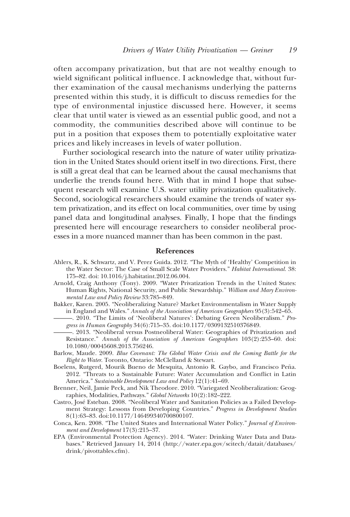often accompany privatization, but that are not wealthy enough to wield significant political influence. I acknowledge that, without further examination of the causal mechanisms underlying the patterns presented within this study, it is difficult to discuss remedies for the type of environmental injustice discussed here. However, it seems clear that until water is viewed as an essential public good, and not a commodity, the communities described above will continue to be put in a position that exposes them to potentially exploitative water prices and likely increases in levels of water pollution.

Further sociological research into the nature of water utility privatization in the United States should orient itself in two directions. First, there is still a great deal that can be learned about the causal mechanisms that underlie the trends found here. With that in mind I hope that subsequent research will examine U.S. water utility privatization qualitatively. Second, sociological researchers should examine the trends of water system privatization, and its effect on local communities, over time by using panel data and longitudinal analyses. Finally, I hope that the findings presented here will encourage researchers to consider neoliberal processes in a more nuanced manner than has been common in the past.

# References

- Ahlers, R., K. Schwartz, and V. Perez Guida. 2012. "The Myth of 'Healthy' Competition in the Water Sector: The Case of Small Scale Water Providers." Habitat International. 38: 175–82. doi: [10.1016/j.habitatint.2012.06.004.](info:doi/10.1016/j.habitatint.2012.06.004.)
- Arnold, Craig Anthony (Tony). 2009. "Water Privatization Trends in the United States: Human Rights, National Security, and Public Stewardship." William and Mary Environmental Law and Policy Review 33:785–849.
- Bakker, Karen. 2005. "Neoliberalizing Nature? Market Environmentalism in Water Supply in England and Wales." Annals of the Association of American Geographers 95(3):542–65.
	- ———. 2010. "The Limits of 'Neoliberal Natures': Debating Green Neoliberalism." Progress in Human Geography 34(6):715–35. doi[:10.1177/0309132510376849.](info:doi/10.1177/0309132510376849)
	- ———. 2013. "Neoliberal versus Postneoliberal Water: Geographies of Privatization and Resistance." Annals of the Association of American Geographers 103(2):253–60. doi: [10.1080/00045608.2013.756246.](info:doi/10.1080/00045608.2013.756246)
- Barlow, Maude. 2009. Blue Covenant: The Global Water Crisis and the Coming Battle for the Right to Water. Toronto, Ontario: McClelland & Stewart.
- Boelens, Rutgerd, Mourik Bueno de Mesquita, Antonio R. Gaybo, and Francisco Pena. ~ 2012. "Threats to a Sustainable Future: Water Accumulation and Conflict in Latin America." Sustainable Development Law and Policy 12(1):41–69.
- Brenner, Neil, Jamie Peck, and Nik Theodore. 2010. "Variegated Neoliberalization: Geographies, Modalities, Pathways." Global Networks 10(2):182–222.
- Castro, José Esteban. 2008. "Neoliberal Water and Sanitation Policies as a Failed Development Strategy: Lessons from Developing Countries." Progress in Development Studies 8(1):63–83. doi[:10.1177/146499340700800107.](info:doi/10.1177/146499340700800107)
- Conca, Ken. 2008. "The United States and International Water Policy." Journal of Environment and Development 17(3):215–37.
- EPA (Environmental Protection Agency). 2014. "Water: Drinking Water Data and Databases." Retrieved January 14, 2014 ([http://water.epa.gov/scitech/datait/databases/](http://water.epa.gov/scitech/datait/databases/drink/pivottables.cfm) [drink/pivottables.cfm](http://water.epa.gov/scitech/datait/databases/drink/pivottables.cfm)).